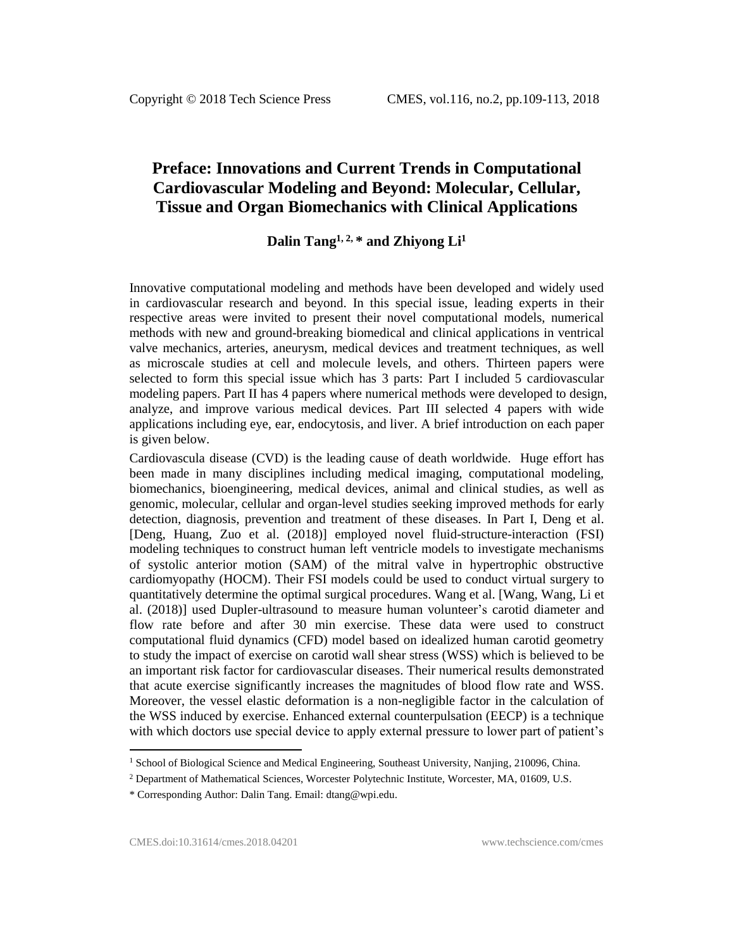# **Preface: Innovations and Current Trends in Computational Cardiovascular Modeling and Beyond: Molecular, Cellular, Tissue and Organ Biomechanics with Clinical Applications**

# **Dalin Tang1, 2, \* and Zhiyong Li<sup>1</sup>**

Innovative computational modeling and methods have been developed and widely used in cardiovascular research and beyond. In this special issue, leading experts in their respective areas were invited to present their novel computational models, numerical methods with new and ground-breaking biomedical and clinical applications in ventrical valve mechanics, arteries, aneurysm, medical devices and treatment techniques, as well as microscale studies at cell and molecule levels, and others. Thirteen papers were selected to form this special issue which has 3 parts: Part I included 5 cardiovascular modeling papers. Part II has 4 papers where numerical methods were developed to design, analyze, and improve various medical devices. Part III selected 4 papers with wide applications including eye, ear, endocytosis, and liver. A brief introduction on each paper is given below.

Cardiovascula disease (CVD) is the leading cause of death worldwide. Huge effort has been made in many disciplines including medical imaging, computational modeling, biomechanics, bioengineering, medical devices, animal and clinical studies, as well as genomic, molecular, cellular and organ-level studies seeking improved methods for early detection, diagnosis, prevention and treatment of these diseases. In Part I, Deng et al. [Deng, Huang, Zuo et al. (2018)] employed novel fluid-structure-interaction (FSI) modeling techniques to construct human left ventricle models to investigate mechanisms of systolic anterior motion (SAM) of the mitral valve in hypertrophic obstructive cardiomyopathy (HOCM). Their FSI models could be used to conduct virtual surgery to quantitatively determine the optimal surgical procedures. Wang et al. [Wang, Wang, Li et al. (2018)] used Dupler-ultrasound to measure human volunteer's carotid diameter and flow rate before and after 30 min exercise. These data were used to construct computational fluid dynamics (CFD) model based on idealized human carotid geometry to study the impact of exercise on carotid wall shear stress (WSS) which is believed to be an important risk factor for cardiovascular diseases. Their numerical results demonstrated that acute exercise significantly increases the magnitudes of blood flow rate and WSS. Moreover, the vessel elastic deformation is a non-negligible factor in the calculation of the WSS induced by exercise. Enhanced external counterpulsation (EECP) is a technique with which doctors use special device to apply external pressure to lower part of patient's

 $\overline{\phantom{a}}$ 

<sup>&</sup>lt;sup>1</sup> School of Biological Science and Medical Engineering, Southeast University, Nanjing, 210096, China.

<sup>&</sup>lt;sup>2</sup> Department of Mathematical Sciences, Worcester Polytechnic Institute, Worcester, MA, 01609, U.S.

<sup>\*</sup> Corresponding Author: Dalin Tang. Email: dtang@wpi.edu.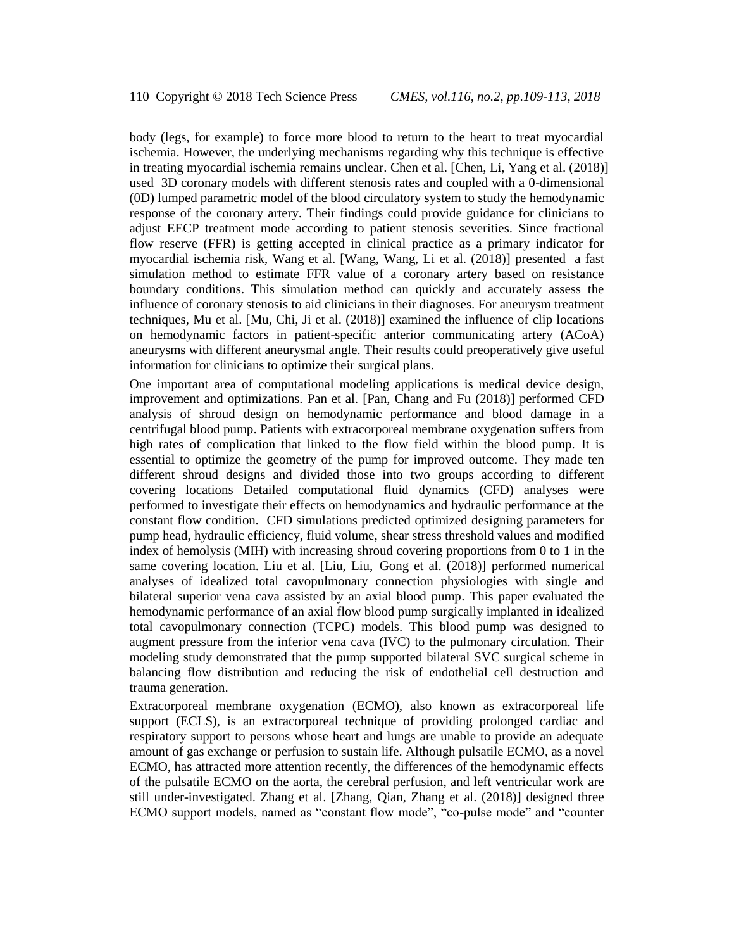body (legs, for example) to force more blood to return to the heart to treat myocardial ischemia. However, the underlying mechanisms regarding why this technique is effective in treating myocardial ischemia remains unclear. Chen et al. [Chen, Li, Yang et al. (2018)] used 3D coronary models with different stenosis rates and coupled with a 0-dimensional (0D) lumped parametric model of the blood circulatory system to study the hemodynamic response of the coronary artery. Their findings could provide guidance for clinicians to adjust EECP treatment mode according to patient stenosis severities. Since fractional flow reserve (FFR) is getting accepted in clinical practice as a primary indicator for myocardial ischemia risk, Wang et al. [Wang, Wang, Li et al. (2018)] presented a fast simulation method to estimate FFR value of a coronary artery based on resistance boundary conditions. This simulation method can quickly and accurately assess the influence of coronary stenosis to aid clinicians in their diagnoses. For aneurysm treatment techniques, Mu et al. [Mu, Chi, Ji et al. (2018)] examined the influence of clip locations on hemodynamic factors in patient-specific anterior communicating artery (ACoA) aneurysms with different aneurysmal angle. Their results could preoperatively give useful information for clinicians to optimize their surgical plans.

One important area of computational modeling applications is medical device design, improvement and optimizations. Pan et al. [Pan, Chang and Fu (2018)] performed CFD analysis of shroud design on hemodynamic performance and blood damage in a centrifugal blood pump. Patients with extracorporeal membrane oxygenation suffers from high rates of complication that linked to the flow field within the blood pump. It is essential to optimize the geometry of the pump for improved outcome. They made ten different shroud designs and divided those into two groups according to different covering locations Detailed computational fluid dynamics (CFD) analyses were performed to investigate their effects on hemodynamics and hydraulic performance at the constant flow condition. CFD simulations predicted optimized designing parameters for pump head, hydraulic efficiency, fluid volume, shear stress threshold values and modified index of hemolysis (MIH) with increasing shroud covering proportions from 0 to 1 in the same covering location. Liu et al. [Liu, Liu, Gong et al. (2018)] performed numerical analyses of idealized total cavopulmonary connection physiologies with single and bilateral superior vena cava assisted by an axial blood pump. This paper evaluated the hemodynamic performance of an axial flow blood pump surgically implanted in idealized total cavopulmonary connection (TCPC) models. This blood pump was designed to augment pressure from the inferior vena cava (IVC) to the pulmonary circulation. Their modeling study demonstrated that the pump supported bilateral SVC surgical scheme in balancing flow distribution and reducing the risk of endothelial cell destruction and trauma generation.

Extracorporeal membrane oxygenation (ECMO), also known as extracorporeal life support (ECLS), is an extracorporeal technique of providing prolonged cardiac and respiratory support to persons whose heart and lungs are unable to provide an adequate amount of gas exchange or perfusion to sustain life. Although pulsatile ECMO, as a novel ECMO, has attracted more attention recently, the differences of the hemodynamic effects of the pulsatile ECMO on the aorta, the cerebral perfusion, and left ventricular work are still under-investigated. Zhang et al. [Zhang, Qian, Zhang et al. (2018)] designed three ECMO support models, named as "constant flow mode", "co-pulse mode" and "counter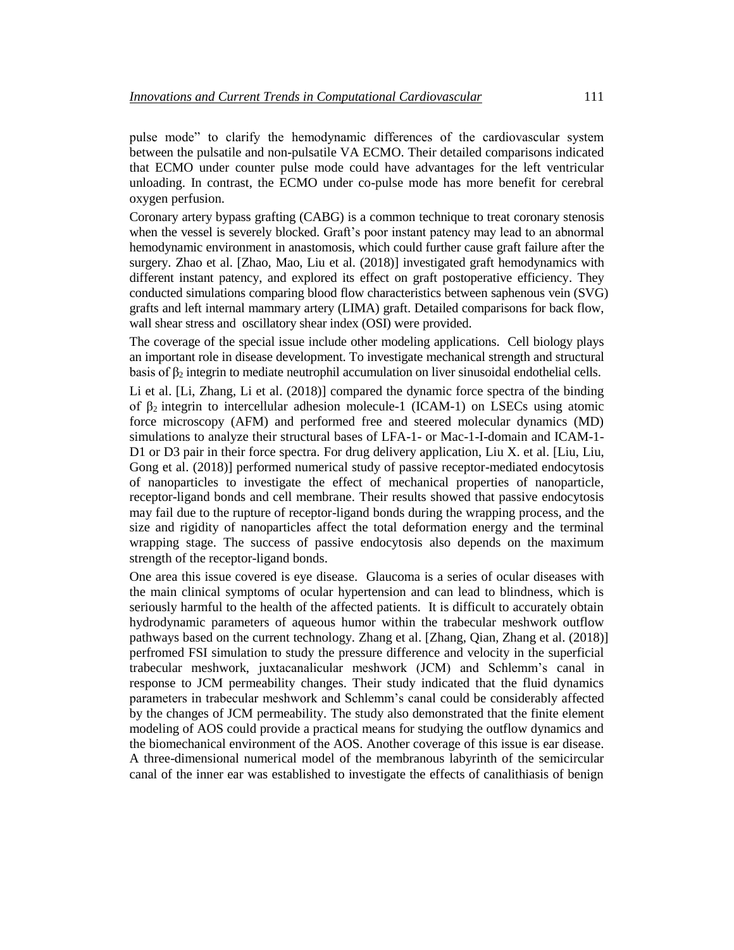pulse mode" to clarify the hemodynamic differences of the cardiovascular system between the pulsatile and non-pulsatile VA ECMO. Their detailed comparisons indicated that ECMO under counter pulse mode could have advantages for the left ventricular unloading. In contrast, the ECMO under co-pulse mode has more benefit for cerebral oxygen perfusion.

Coronary artery bypass grafting (CABG) is a common technique to treat coronary stenosis when the vessel is severely blocked. Graft's poor instant patency may lead to an abnormal hemodynamic environment in anastomosis, which could further cause graft failure after the surgery. Zhao et al. [Zhao, Mao, Liu et al. (2018)] investigated graft hemodynamics with different instant patency, and explored its effect on graft postoperative efficiency. They conducted simulations comparing blood flow characteristics between saphenous vein (SVG) grafts and left internal mammary artery (LIMA) graft. Detailed comparisons for back flow, wall shear stress and oscillatory shear index (OSI) were provided.

The coverage of the special issue include other modeling applications. Cell biology plays an important role in disease development. To investigate mechanical strength and structural basis of  $\beta_2$  integrin to mediate neutrophil accumulation on liver sinusoidal endothelial cells.

Li et al. [Li, Zhang, Li et al. (2018)] compared the dynamic force spectra of the binding of  $β_2$  integrin to intercellular adhesion molecule-1 (ICAM-1) on LSECs using atomic force microscopy (AFM) and performed free and steered molecular dynamics (MD) simulations to analyze their structural bases of LFA-1- or Mac-1-I-domain and ICAM-1- D1 or D3 pair in their force spectra. For drug delivery application, Liu X. et al. [Liu, Liu, Gong et al. (2018)] performed numerical study of passive receptor-mediated endocytosis of nanoparticles to investigate the effect of mechanical properties of nanoparticle, receptor-ligand bonds and cell membrane. Their results showed that passive endocytosis may fail due to the rupture of receptor-ligand bonds during the wrapping process, and the size and rigidity of nanoparticles affect the total deformation energy and the terminal wrapping stage. The success of passive endocytosis also depends on the maximum strength of the receptor-ligand bonds.

One area this issue covered is eye disease. Glaucoma is a series of ocular diseases with the main clinical symptoms of ocular hypertension and can lead to blindness, which is seriously harmful to the health of the affected patients. It is difficult to accurately obtain hydrodynamic parameters of aqueous humor within the trabecular meshwork outflow pathways based on the current technology. Zhang et al. [Zhang, Qian, Zhang et al. (2018)] perfromed FSI simulation to study the pressure difference and velocity in the superficial trabecular meshwork, juxtacanalicular meshwork (JCM) and Schlemm's canal in response to JCM permeability changes. Their study indicated that the fluid dynamics parameters in trabecular meshwork and Schlemm's canal could be considerably affected by the changes of JCM permeability. The study also demonstrated that the finite element modeling of AOS could provide a practical means for studying the outflow dynamics and the biomechanical environment of the AOS. Another coverage of this issue is ear disease. A three-dimensional numerical model of the membranous labyrinth of the semicircular canal of the inner ear was established to investigate the effects of canalithiasis of benign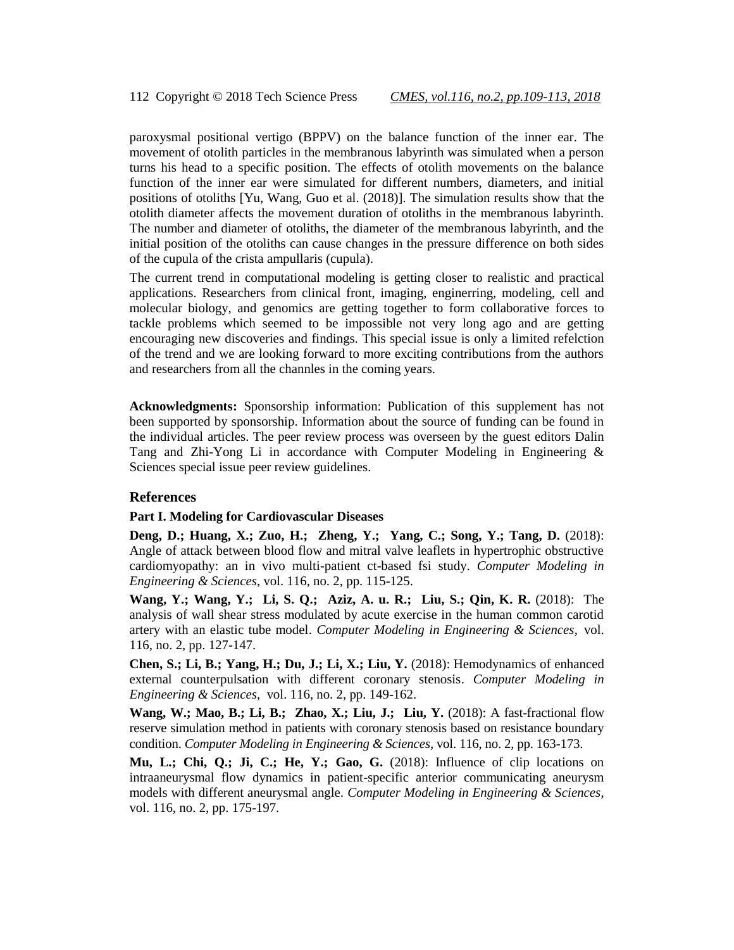paroxysmal positional vertigo (BPPV) on the balance function of the inner ear. The movement of otolith particles in the membranous labyrinth was simulated when a person turns his head to a specific position. The effects of otolith movements on the balance function of the inner ear were simulated for different numbers, diameters, and initial positions of otoliths [Yu, Wang, Guo et al. (2018)]. The simulation results show that the otolith diameter affects the movement duration of otoliths in the membranous labyrinth. The number and diameter of otoliths, the diameter of the membranous labyrinth, and the initial position of the otoliths can cause changes in the pressure difference on both sides of the cupula of the crista ampullaris (cupula).

The current trend in computational modeling is getting closer to realistic and practical applications. Researchers from clinical front, imaging, enginerring, modeling, cell and molecular biology, and genomics are getting together to form collaborative forces to tackle problems which seemed to be impossible not very long ago and are getting encouraging new discoveries and findings. This special issue is only a limited refelction of the trend and we are looking forward to more exciting contributions from the authors and researchers from all the channles in the coming years.

**Acknowledgments:** Sponsorship information: Publication of this supplement has not been supported by sponsorship. Information about the source of funding can be found in the individual articles. The peer review process was overseen by the guest editors Dalin Tang and Zhi-Yong Li in accordance with Computer Modeling in Engineering & Sciences special issue peer review guidelines.

### **References**

#### **Part I. Modeling for Cardiovascular Diseases**

**Deng, D.; Huang, X.; Zuo, H.; Zheng, Y.; Yang, C.; Song, Y.; Tang, D.** (2018): Angle of attack between blood flow and mitral valve leaflets in hypertrophic obstructive cardiomyopathy: an in vivo multi-patient ct-based fsi study. *Computer Modeling in Engineering & Sciences*, vol. 116, no. 2, pp. 115-125.

**Wang, Y.; Wang, Y.; Li, S. Q.; Aziz, A. u. R.; Liu, S.; Qin, K. R.** (2018): The analysis of wall shear stress modulated by acute exercise in the human common carotid artery with an elastic tube model. *Computer Modeling in Engineering & Sciences*, vol. 116, no. 2, pp. 127-147.

**Chen, S.; Li, B.; Yang, H.; Du, J.; Li, X.; Liu, Y.** (2018): Hemodynamics of enhanced external counterpulsation with different coronary stenosis. *Computer Modeling in Engineering & Sciences*, vol. 116, no. 2, pp. 149-162.

**Wang, W.; Mao, B.; Li, B.; Zhao, X.; Liu, J.; Liu, Y.** (2018): A fast-fractional flow reserve simulation method in patients with coronary stenosis based on resistance boundary condition. *Computer Modeling in Engineering & Sciences*, vol. 116, no. 2, pp. 163-173.

**Mu, L.; Chi, Q.; Ji, C.; He, Y.; Gao, G.** (2018): Influence of clip locations on intraaneurysmal flow dynamics in patient-specific anterior communicating aneurysm models with different aneurysmal angle. *Computer Modeling in Engineering & Sciences*, vol. 116, no. 2, pp. 175-197.